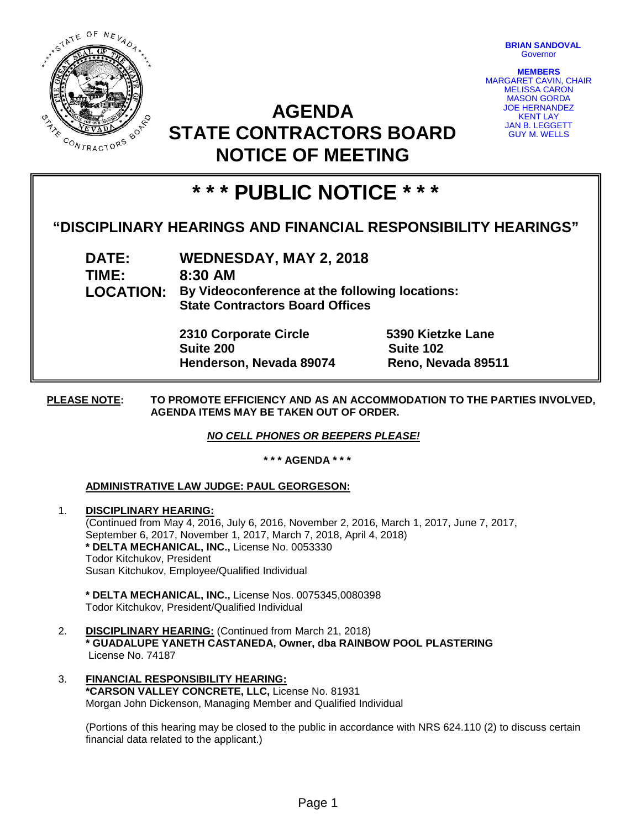

**BRIAN SANDOVAL Governor** 

**MEMBERS** MARGARET CAVIN, CHAIR MELISSA CARON MASON GORDA JOE HERNANDEZ KENT LAY JAN B. LEGGETT GUY M. WELLS

# **AGENDA STATE CONTRACTORS BOARD NOTICE OF MEETING**

# **\* \* \* PUBLIC NOTICE \* \* \***

## **"DISCIPLINARY HEARINGS AND FINANCIAL RESPONSIBILITY HEARINGS"**

**DATE: WEDNESDAY, MAY 2, 2018 TIME: 8:30 AM LOCATION: By Videoconference at the following locations: State Contractors Board Offices**

> **2310 Corporate Circle 5390 Kietzke Lane Suite 200 Suite 102 Henderson, Nevada 89074 Reno, Nevada 89511**

**PLEASE NOTE: TO PROMOTE EFFICIENCY AND AS AN ACCOMMODATION TO THE PARTIES INVOLVED, AGENDA ITEMS MAY BE TAKEN OUT OF ORDER.**

*NO CELL PHONES OR BEEPERS PLEASE!* 

**\* \* \* AGENDA \* \* \***

### **ADMINISTRATIVE LAW JUDGE: PAUL GEORGESON:**

1. **DISCIPLINARY HEARING:**  (Continued from May 4, 2016, July 6, 2016, November 2, 2016, March 1, 2017, June 7, 2017, September 6, 2017, November 1, 2017, March 7, 2018, April 4, 2018) **\* DELTA MECHANICAL, INC.,** License No. 0053330 Todor Kitchukov, President Susan Kitchukov, Employee/Qualified Individual

**\* DELTA MECHANICAL, INC.,** License Nos. 0075345,0080398 Todor Kitchukov, President/Qualified Individual

- 2. **DISCIPLINARY HEARING:** (Continued from March 21, 2018) **\* GUADALUPE YANETH CASTANEDA, Owner, dba RAINBOW POOL PLASTERING** License No. 74187
- 3. **FINANCIAL RESPONSIBILITY HEARING: \*CARSON VALLEY CONCRETE, LLC,** License No. 81931 Morgan John Dickenson, Managing Member and Qualified Individual

(Portions of this hearing may be closed to the public in accordance with NRS 624.110 (2) to discuss certain financial data related to the applicant.)